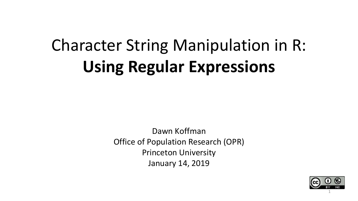# Character String Manipulation in R: **Using Regular Expressions**

Dawn Koffman Office of Population Research (OPR) Princeton University January 14, 2019

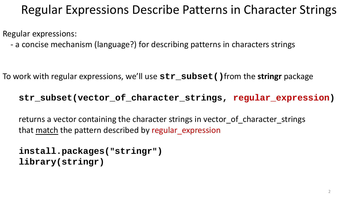### Regular Expressions Describe Patterns in Character Strings

Regular expressions:

- a concise mechanism (language?) for describing patterns in characters strings

To work with regular expressions, we'll use **str\_subset()**from the **stringr** package

#### **str\_subset(vector\_of\_character\_strings, regular\_expression)**

returns a vector containing the character strings in vector of character strings that match the pattern described by regular expression

```
install.packages("stringr")
library(stringr)
```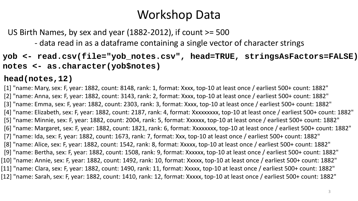# Workshop Data

US Birth Names, by sex and year (1882-2012), if count >= 500

- data read in as a dataframe containing a single vector of character strings

**yob <- read.csv(file="yob\_notes.csv", head=TRUE, stringsAsFactors=FALSE) notes <- as.character(yob\$notes)**

**head(notes,12)**

[1] "name: Mary, sex: F, year: 1882, count: 8148, rank: 1, format: Xxxx, top-10 at least once / earliest 500+ count: 1882" [2] "name: Anna, sex: F, year: 1882, count: 3143, rank: 2, format: Xxxx, top-10 at least once / earliest 500+ count: 1882" [3] "name: Emma, sex: F, year: 1882, count: 2303, rank: 3, format: Xxxx, top-10 at least once / earliest 500+ count: 1882" [4] "name: Elizabeth, sex: F, year: 1882, count: 2187, rank: 4, format: Xxxxxxxxx, top-10 at least once / earliest 500+ count: 1882" [5] "name: Minnie, sex: F, year: 1882, count: 2004, rank: 5, format: Xxxxxx, top-10 at least once / earliest 500+ count: 1882" [6] "name: Margaret, sex: F, year: 1882, count: 1821, rank: 6, format: Xxxxxxxx, top-10 at least once / earliest 500+ count: 1882" [7] "name: Ida, sex: F, year: 1882, count: 1673, rank: 7, format: Xxx, top-10 at least once / earliest 500+ count: 1882" [8] "name: Alice, sex: F, year: 1882, count: 1542, rank: 8, format: Xxxxx, top-10 at least once / earliest 500+ count: 1882" [9] "name: Bertha, sex: F, year: 1882, count: 1508, rank: 9, format: Xxxxxx, top-10 at least once / earliest 500+ count: 1882" [10] "name: Annie, sex: F, year: 1882, count: 1492, rank: 10, format: Xxxxx, top-10 at least once / earliest 500+ count: 1882" [11] "name: Clara, sex: F, year: 1882, count: 1490, rank: 11, format: Xxxxx, top-10 at least once / earliest 500+ count: 1882" [12] "name: Sarah, sex: F, year: 1882, count: 1410, rank: 12, format: Xxxxx, top-10 at least once / earliest 500+ count: 1882"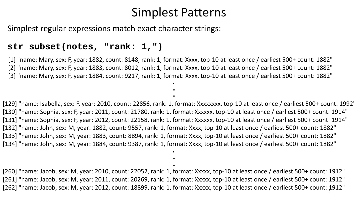#### Simplest Patterns

Simplest regular expressions match exact character strings:

#### **str\_subset(notes, "rank: 1,")**

[1] "name: Mary, sex: F, year: 1882, count: 8148, rank: 1, format: Xxxx, top-10 at least once / earliest 500+ count: 1882" [2] "name: Mary, sex: F, year: 1883, count: 8012, rank: 1, format: Xxxx, top-10 at least once / earliest 500+ count: 1882" [3] "name: Mary, sex: F, year: 1884, count: 9217, rank: 1, format: Xxxx, top-10 at least once / earliest 500+ count: 1882" **.**

**. .**

[129] "name: Isabella, sex: F, year: 2010, count: 22856, rank: 1, format: Xxxxxxxx, top-10 at least once / earliest 500+ count: 1992" [130] "name: Sophia, sex: F, year: 2011, count: 21780, rank: 1, format: Xxxxxx, top-10 at least once / earliest 500+ count: 1914" [131] "name: Sophia, sex: F, year: 2012, count: 22158, rank: 1, format: Xxxxxx, top-10 at least once / earliest 500+ count: 1914" [132] "name: John, sex: M, year: 1882, count: 9557, rank: 1, format: Xxxx, top-10 at least once / earliest 500+ count: 1882" [133] "name: John, sex: M, year: 1883, count: 8894, rank: 1, format: Xxxx, top-10 at least once / earliest 500+ count: 1882" [134] "name: John, sex: M, year: 1884, count: 9387, rank: 1, format: Xxxx, top-10 at least once / earliest 500+ count: 1882" **.**

[260] "name: Jacob, sex: M, year: 2010, count: 22052, rank: 1, format: Xxxxx, top-10 at least once / earliest 500+ count: 1912" [261] "name: Jacob, sex: M, year: 2011, count: 20269, rank: 1, format: Xxxxx, top-10 at least once / earliest 500+ count: 1912" [262] "name: Jacob, sex: M, year: 2012, count: 18899, rank: 1, format: Xxxxx, top-10 at least once / earliest 500+ count: 1912" <sup>4</sup>

**. .**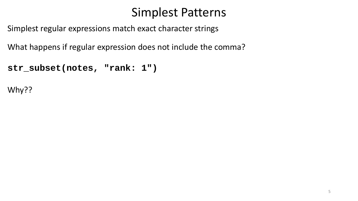### Simplest Patterns

Simplest regular expressions match exact character strings

What happens if regular expression does not include the comma?

```
str_subset(notes, "rank: 1")
```
Why??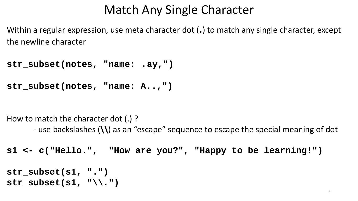# Match Any Single Character

Within a regular expression, use meta character dot (.) to match any single character, except the newline character

**str\_subset(notes, "name: .ay,")**

**str\_subset(notes, "name: A..,")**

How to match the character dot (.) ?

- use backslashes (**\\**) as an "escape" sequence to escape the special meaning of dot

**s1 <- c("Hello.", "How are you?", "Happy to be learning!")**

```
str_subset(s1, ".")
str subset(s1, "\(\cdot\).")
```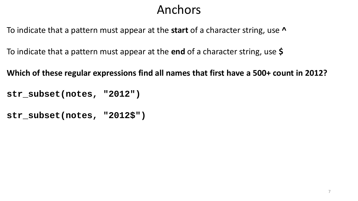# Anchors

To indicate that a pattern must appear at the **start** of a character string, use **^**

To indicate that a pattern must appear at the **end** of a character string, use **\$**

**Which of these regular expressions find all names that first have a 500+ count in 2012?**

**str\_subset(notes, "2012")**

**str\_subset(notes, "2012\$")**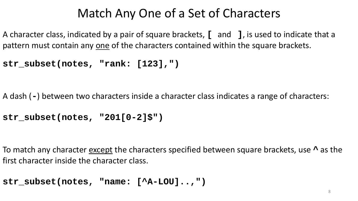# Match Any One of a Set of Characters

A character class, indicated by a pair of square brackets, **[** and **]**, is used to indicate that a pattern must contain any one of the characters contained within the square brackets.

```
str_subset(notes, "rank: [123],")
```
A dash (**-**) between two characters inside a character class indicates a range of characters:

```
str_subset(notes, "201[0-2]$")
```
To match any character except the characters specified between square brackets, use **^** as the first character inside the character class.

```
str_subset(notes, "name: [^A-LOU]..,")
```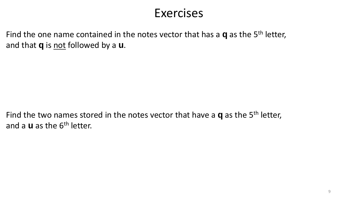#### Exercises

Find the one name contained in the notes vector that has a **q** as the 5th letter, and that **q** is not followed by a **u**.

Find the two names stored in the notes vector that have a **q** as the 5th letter, and a **u** as the 6th letter.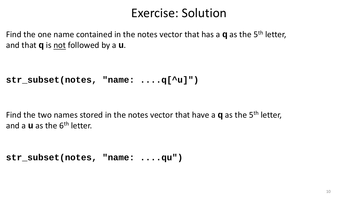#### Exercise: Solution

Find the one name contained in the notes vector that has a **q** as the 5th letter, and that **q** is not followed by a **u**.

**str\_subset(notes, "name: ....q[^u]")**

Find the two names stored in the notes vector that have a **q** as the 5th letter, and a **u** as the 6th letter.

**str\_subset(notes, "name: ....qu")**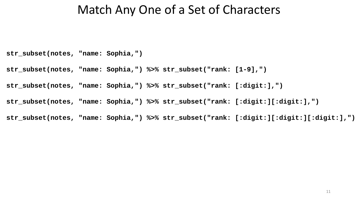#### Match Any One of a Set of Characters

**str\_subset(notes, "name: Sophia,")**

**str\_subset(notes, "name: Sophia,") %>% str\_subset("rank: [1-9],")**

**str\_subset(notes, "name: Sophia,") %>% str\_subset("rank: [:digit:],")**

**str\_subset(notes, "name: Sophia,") %>% str\_subset("rank: [:digit:][:digit:],")**

**str\_subset(notes, "name: Sophia,") %>% str\_subset("rank: [:digit:][:digit:][:digit:],")**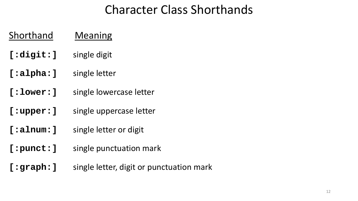# Character Class Shorthands

#### Shorthand Meaning

- **[:digit:]** single digit
- **[:alpha:]** single letter
- **[:lower:]** single lowercase letter
- **[:upper:]** single uppercase letter
- **[:alnum:]** single letter or digit
- **[:punct:]** single punctuation mark
- **[:graph:]** single letter, digit or punctuation mark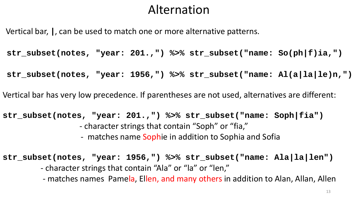#### Alternation

Vertical bar, **|**, can be used to match one or more alternative patterns.

**str\_subset(notes, "year: 201.,") %>% str\_subset("name: So(ph|f)ia,")**

**str\_subset(notes, "year: 1956,") %>% str\_subset("name: Al(a|la|le)n,")**

Vertical bar has very low precedence. If parentheses are not used, alternatives are different:

```
str_subset(notes, "year: 201.,") %>% str_subset("name: Soph|fia")
                  - character strings that contain "Soph" or "fia," 
                   - matches name Sophie in addition to Sophia and Sofia
```
**str\_subset(notes, "year: 1956,") %>% str\_subset("name: Ala|la|len")**

- character strings that contain "Ala" or "la" or "len,"

- matches names Pamela, Ellen, and many others in addition to Alan, Allan, Allen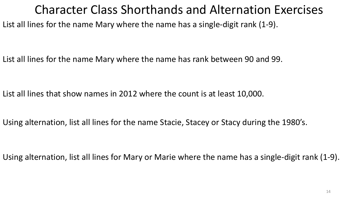#### Character Class Shorthands and Alternation Exercises

List all lines for the name Mary where the name has a single-digit rank (1-9).

List all lines for the name Mary where the name has rank between 90 and 99.

List all lines that show names in 2012 where the count is at least 10,000.

Using alternation, list all lines for the name Stacie, Stacey or Stacy during the 1980's.

Using alternation, list all lines for Mary or Marie where the name has a single-digit rank (1-9).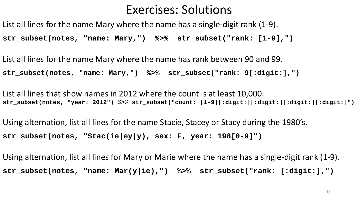#### Exercises: Solutions

List all lines for the name Mary where the name has a single-digit rank (1-9).

**str\_subset(notes, "name: Mary,") %>% str\_subset("rank: [1-9],")**

List all lines for the name Mary where the name has rank between 90 and 99. **str\_subset(notes, "name: Mary,") %>% str\_subset("rank: 9[:digit:],")** 

List all lines that show names in 2012 where the count is at least 10,000. **str\_subset(notes, "year: 2012") %>% str\_subset("count: [1-9][:digit:][:digit:][:digit:][:digit:]")**

Using alternation, list all lines for the name Stacie, Stacey or Stacy during the 1980's. **str\_subset(notes, "Stac(ie|ey|y), sex: F, year: 198[0-9]")**

Using alternation, list all lines for Mary or Marie where the name has a single-digit rank (1-9). **str\_subset(notes, "name: Mar(y|ie),") %>% str\_subset("rank: [:digit:],")**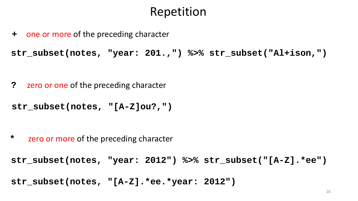### Repetition

**+** one or more of the preceding character

**str\_subset(notes, "year: 201.,") %>% str\_subset("Al+ison,")**

**?** zero or one of the preceding character

```
str_subset(notes, "[A-Z]ou?,")
```
**\*** zero or more of the preceding character

```
str_subset(notes, "year: 2012") %>% str_subset("[A-Z].*ee")
```
**str\_subset(notes, "[A-Z].\*ee.\*year: 2012")**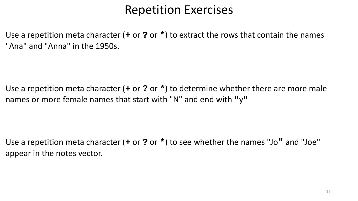### Repetition Exercises

Use a repetition meta character (**+** or **?** or **\***) to extract the rows that contain the names "Ana" and "Anna" in the 1950s.

Use a repetition meta character (**+** or **?** or **\***) to determine whether there are more male names or more female names that start with "N" and end with **"**y**"**

Use a repetition meta character (**+** or **?** or **\***) to see whether the names "Jo**"** and "Joe" appear in the notes vector.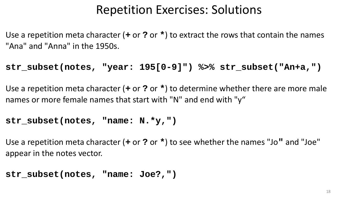### Repetition Exercises: Solutions

Use a repetition meta character (**+** or **?** or **\***) to extract the rows that contain the names "Ana" and "Anna" in the 1950s.

**str\_subset(notes, "year: 195[0-9]") %>% str\_subset("An+a,")**

Use a repetition meta character (**+** or **?** or **\***) to determine whether there are more male names or more female names that start with "N" and end with "y"

#### **str\_subset(notes, "name: N.\*y,")**

Use a repetition meta character (**+** or **?** or **\***) to see whether the names "Jo**"** and "Joe" appear in the notes vector.

```
str_subset(notes, "name: Joe?,")
```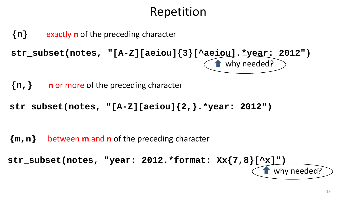# Repetition

**{n}** exactly **n** of the preceding character

```
str_subset(notes, "[A-Z][aeiou]{3}[^aeiou].*year: 2012")
                                       why needed?
```
**{n,} n** or more of the preceding character

**str\_subset(notes, "[A-Z][aeiou]{2,}.\*year: 2012")**

**{m,n}** between **m** and **n** of the preceding character

```
str_subset(notes, "year: 2012.*format: Xx{7,8}[^x]")
                                                 why needed?
```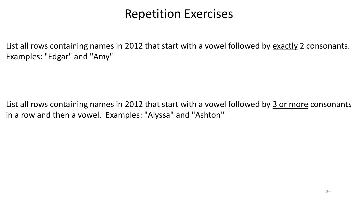#### Repetition Exercises

List all rows containing names in 2012 that start with a vowel followed by exactly 2 consonants. Examples: "Edgar" and "Amy"

List all rows containing names in 2012 that start with a vowel followed by 3 or more consonants in a row and then a vowel. Examples: "Alyssa" and "Ashton"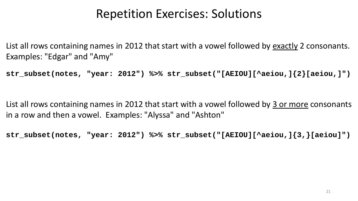### Repetition Exercises: Solutions

List all rows containing names in 2012 that start with a vowel followed by exactly 2 consonants. Examples: "Edgar" and "Amy"

**str\_subset(notes, "year: 2012") %>% str\_subset("[AEIOU][^aeiou,]{2}[aeiou,]")**

List all rows containing names in 2012 that start with a vowel followed by 3 or more consonants in a row and then a vowel. Examples: "Alyssa" and "Ashton"

**str\_subset(notes, "year: 2012") %>% str\_subset("[AEIOU][^aeiou,]{3,}[aeiou]")**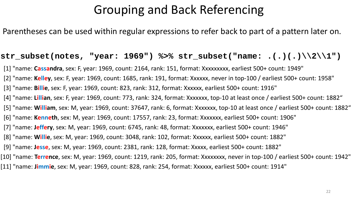# Grouping and Back Referencing

Parentheses can be used within regular expressions to refer back to part of a pattern later on.

#### **str\_subset(notes, "year: 1969") %>% str\_subset("name: .(.)(.)\\2\\1")**

[1] "name: **Cassandra**, sex: F, year: 1969, count: 2164, rank: 151, format: Xxxxxxxxx, earliest 500+ count: 1949"

[2] "name: **Kelley**, sex: F, year: 1969, count: 1685, rank: 191, format: Xxxxxx, never in top-100 / earliest 500+ count: 1958"

[3] "name: **Billie**, sex: F, year: 1969, count: 823, rank: 312, format: Xxxxxx, earliest 500+ count: 1916"

[4] "name: **Lillian**, sex: F, year: 1969, count: 773, rank: 324, format: Xxxxxxx, top-10 at least once / earliest 500+ count: 1882"

[5] "name: **William**, sex: M, year: 1969, count: 37647, rank: 6, format: Xxxxxxx, top-10 at least once / earliest 500+ count: 1882"

[6] "name: **Kenneth**, sex: M, year: 1969, count: 17557, rank: 23, format: Xxxxxxx, earliest 500+ count: 1906"

[7] "name: **Jeffery**, sex: M, year: 1969, count: 6745, rank: 48, format: Xxxxxxx, earliest 500+ count: 1946"

[8] "name: **Willie**, sex: M, year: 1969, count: 3048, rank: 102, format: Xxxxxx, earliest 500+ count: 1882"

[9] "name: **Jesse**, sex: M, year: 1969, count: 2381, rank: 128, format: Xxxxx, earliest 500+ count: 1882"

[10] "name: **Terrence**, sex: M, year: 1969, count: 1219, rank: 205, format: Xxxxxxxx, never in top-100 / earliest 500+ count: 1942"

[11] "name: **Jimmie**, sex: M, year: 1969, count: 828, rank: 254, format: Xxxxxx, earliest 500+ count: 1914"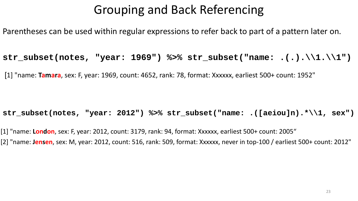# Grouping and Back Referencing

Parentheses can be used within regular expressions to refer back to part of a pattern later on.

**str\_subset(notes, "year: 1969") %>% str\_subset("name: .(.).\\1.\\1")**

[1] "name: **Tamara**, sex: F, year: 1969, count: 4652, rank: 78, format: Xxxxxx, earliest 500+ count: 1952"

**str\_subset(notes, "year: 2012") %>% str\_subset("name: .([aeiou]n).\*\\1, sex")** 

[1] "name: **London**, sex: F, year: 2012, count: 3179, rank: 94, format: Xxxxxx, earliest 500+ count: 2005" [2] "name: **Jensen**, sex: M, year: 2012, count: 516, rank: 509, format: Xxxxxx, never in top-100 / earliest 500+ count: 2012"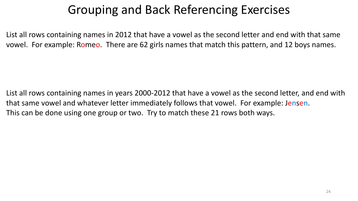# Grouping and Back Referencing Exercises

List all rows containing names in 2012 that have a vowel as the second letter and end with that same vowel. For example: Romeo. There are 62 girls names that match this pattern, and 12 boys names.

List all rows containing names in years 2000-2012 that have a vowel as the second letter, and end with that same vowel and whatever letter immediately follows that vowel. For example: Jensen. This can be done using one group or two. Try to match these 21 rows both ways.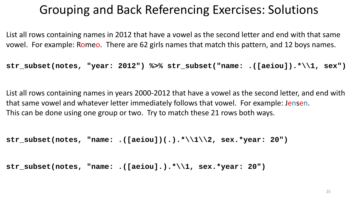# Grouping and Back Referencing Exercises: Solutions

List all rows containing names in 2012 that have a vowel as the second letter and end with that same vowel. For example: Romeo. There are 62 girls names that match this pattern, and 12 boys names.

**str\_subset(notes, "year: 2012") %>% str\_subset("name: .([aeiou]).\*\\1, sex")** 

List all rows containing names in years 2000-2012 that have a vowel as the second letter, and end with that same vowel and whatever letter immediately follows that vowel. For example: Jensen. This can be done using one group or two. Try to match these 21 rows both ways.

```
str_subset(notes, "name: .([aeiou])(.).*\\1\\2, sex.*year: 20")
```

```
str_subset(notes, "name: .([aeiou].).*\\1, sex.*year: 20")
```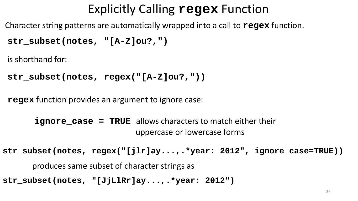# Explicitly Calling **regex** Function

Character string patterns are automatically wrapped into a call to **regex** function.

```
str_subset(notes, "[A-Z]ou?,")
```
is shorthand for:

```
str_subset(notes, regex("[A-Z]ou?,"))
```
**regex** function provides an argument to ignore case:

**ignore\_case = TRUE** allows characters to match either their uppercase or lowercase forms

**str\_subset(notes, regex("[jlr]ay...,.\*year: 2012", ignore\_case=TRUE))**

```
produces same subset of character strings as
```
**str\_subset(notes, "[JjLlRr]ay...,.\*year: 2012")**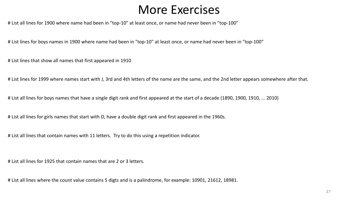#### More Exercises

# List all lines for 1900 where name had been in "top-10" at least once, or name had never been in "top-100"

# List lines for boys names in 1900 where name had been in "top-10" at least once, or name had never been in "top-100"

# List lines that show all names that first appeared in 1910

# List lines for 1999 where names start with J, 3rd and 4th letters of the name are the same, and the 2nd letter appears somewhere after that.

# List all lines for boys names that have a single digit rank and first appeared at the start of a decade (1890, 1900, 1910, ... 2010)

# List all lines for girls names that start with D, have a double digit rank and first appeared in the 1960s.

# List all lines that contain names with 11 letters. Try to do this using a repetition indicator.

# List all lines for 1925 that contain names that are 2 or 3 letters.

# List all lines where the count value contains 5 digts and is a palindrome, for example: 10901, 21612, 18981.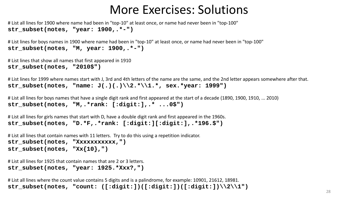#### More Exercises: Solutions

# List all lines for 1900 where name had been in "top-10" at least once, or name had never been in "top-100" **str\_subset(notes, "year: 1900,.\*-")**

# List lines for boys names in 1900 where name had been in "top-10" at least once, or name had never been in "top-100" **str\_subset(notes, "M, year: 1900,.\*-")**

```
# List lines that show all names that first appeared in 1910
str_subset(notes, "2010$")
```
# List lines for 1999 where names start with J, 3rd and 4th letters of the name are the same, and the 2nd letter appears somewhere after that. **str\_subset(notes, "name: J(.)(.)\\2.\*\\1.\*, sex.\*year: 1999")**

```
# List all lines for boys names that have a single digit rank and first appeared at the start of a decade (1890, 1900, 1910, ... 2010) 
str_subset(notes, "M,.*rank: [:digit:],.* ...0$")
```
# List all lines for girls names that start with D, have a double digit rank and first appeared in the 1960s. **str\_subset(notes, "D.\*F,.\*rank: [:digit:][:digit:],.\*196.\$")**

# List all lines that contain names with 11 letters. Try to do this using a repetition indicator. str\_subset(notes, "Xxxxxxxxxxx,") str subset(notes,  $"Xx{10},"$ 

# List all lines for 1925 that contain names that are 2 or 3 letters. **str\_subset(notes, "year: 1925.\*Xxx?,")**

# List all lines where the count value contains 5 digits and is a palindrome, for example: 10901, 21612, 18981. **str\_subset(notes, "count: ([:digit:])([:digit:])([:digit:])\\2\\1")**